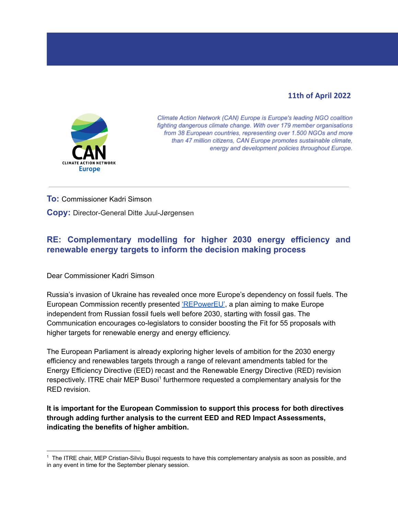## **11th of April 2022**



Climate Action Network (CAN) Europe is Europe's leading NGO coalition fighting dangerous climate change. With over 179 member organisations from 38 European countries, representing over 1.500 NGOs and more than 47 million citizens, CAN Europe promotes sustainable climate, energy and development policies throughout Europe.

## **To:** Commissioner Kadri Simson

**Copy:** Director-General Ditte Juul-Jørgense**n**

## **RE: Complementary modelling for higher 2030 energy efficiency and renewable energy targets to inform the decision making process**

Dear Commissioner Kadri Simson

Russia's invasion of Ukraine has revealed once more Europe's dependency on fossil fuels. The European Commission recently presented ['REPowerEU', a plan](https://ec.europa.eu/commission/presscorner/detail/en/ip_22_1511) aiming to make Europe independent from Russian fossil fuels well before 2030, starting with fossil gas. The Communication encourages co-legislators to consider boosting the Fit for 55 proposals with higher targets for renewable energy and energy efficiency.

The European Parliament is already exploring higher levels of ambition for the 2030 energy efficiency and renewables targets through a range of relevant amendments tabled for the Energy Efficiency Directive (EED) recast and the Renewable Energy Directive (RED) revision respectively. ITRE chair MEP Busoi<sup>1</sup> furthermore requested a complementary analysis for the RED revision.

**It is important for the European Commission to support this process for both directives through adding further analysis to the current EED and RED Impact Assessments, indicating the benefits of higher ambition.**

<sup>1</sup> The ITRE chair, MEP Cristian-Silviu Bușoi requests to have this complementary analysis as soon as possible, and in any event in time for the September plenary session.